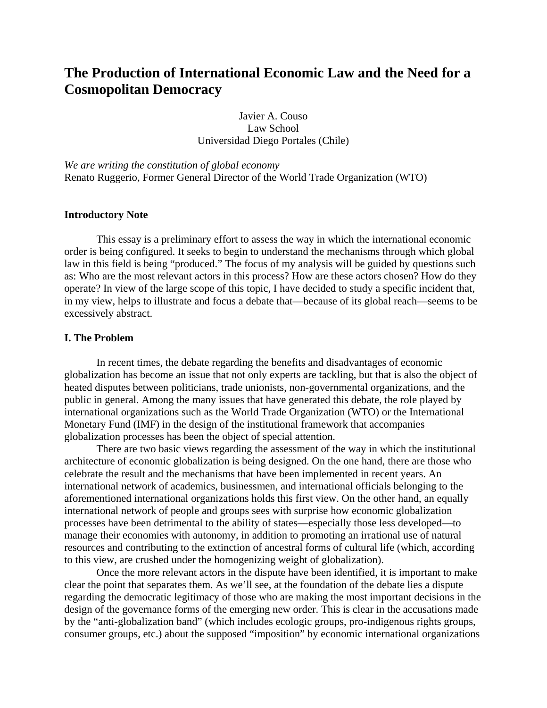# **The Production of International Economic Law and the Need for a Cosmopolitan Democracy**

Javier A. Couso Law School Universidad Diego Portales (Chile)

*We are writing the constitution of global economy*  Renato Ruggerio, Former General Director of the World Trade Organization (WTO)

#### **Introductory Note**

This essay is a preliminary effort to assess the way in which the international economic order is being configured. It seeks to begin to understand the mechanisms through which global law in this field is being "produced." The focus of my analysis will be guided by questions such as: Who are the most relevant actors in this process? How are these actors chosen? How do they operate? In view of the large scope of this topic, I have decided to study a specific incident that, in my view, helps to illustrate and focus a debate that—because of its global reach—seems to be excessively abstract.

# **I. The Problem**

In recent times, the debate regarding the benefits and disadvantages of economic globalization has become an issue that not only experts are tackling, but that is also the object of heated disputes between politicians, trade unionists, non-governmental organizations, and the public in general. Among the many issues that have generated this debate, the role played by international organizations such as the World Trade Organization (WTO) or the International Monetary Fund (IMF) in the design of the institutional framework that accompanies globalization processes has been the object of special attention.

There are two basic views regarding the assessment of the way in which the institutional architecture of economic globalization is being designed. On the one hand, there are those who celebrate the result and the mechanisms that have been implemented in recent years. An international network of academics, businessmen, and international officials belonging to the aforementioned international organizations holds this first view. On the other hand, an equally international network of people and groups sees with surprise how economic globalization processes have been detrimental to the ability of states—especially those less developed—to manage their economies with autonomy, in addition to promoting an irrational use of natural resources and contributing to the extinction of ancestral forms of cultural life (which, according to this view, are crushed under the homogenizing weight of globalization).

Once the more relevant actors in the dispute have been identified, it is important to make clear the point that separates them. As we'll see, at the foundation of the debate lies a dispute regarding the democratic legitimacy of those who are making the most important decisions in the design of the governance forms of the emerging new order. This is clear in the accusations made by the "anti-globalization band" (which includes ecologic groups, pro-indigenous rights groups, consumer groups, etc.) about the supposed "imposition" by economic international organizations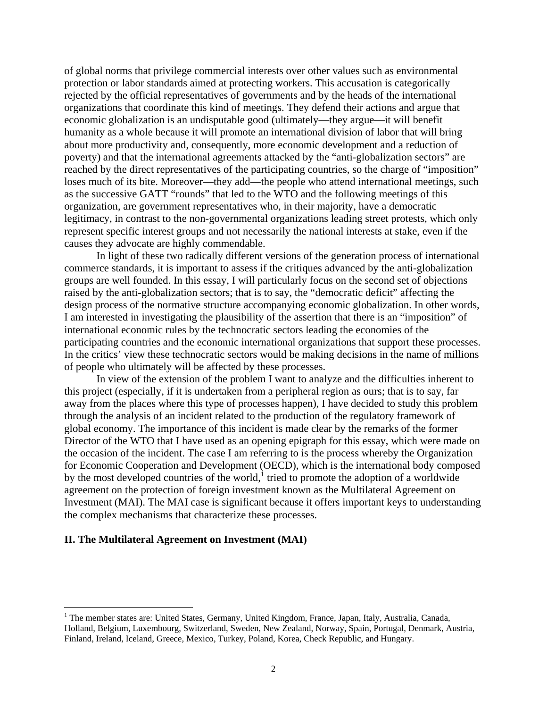of global norms that privilege commercial interests over other values such as environmental protection or labor standards aimed at protecting workers. This accusation is categorically rejected by the official representatives of governments and by the heads of the international organizations that coordinate this kind of meetings. They defend their actions and argue that economic globalization is an undisputable good (ultimately—they argue—it will benefit humanity as a whole because it will promote an international division of labor that will bring about more productivity and, consequently, more economic development and a reduction of poverty) and that the international agreements attacked by the "anti-globalization sectors" are reached by the direct representatives of the participating countries, so the charge of "imposition" loses much of its bite. Moreover—they add—the people who attend international meetings, such as the successive GATT "rounds" that led to the WTO and the following meetings of this organization, are government representatives who, in their majority, have a democratic legitimacy, in contrast to the non-governmental organizations leading street protests, which only represent specific interest groups and not necessarily the national interests at stake, even if the causes they advocate are highly commendable.

In light of these two radically different versions of the generation process of international commerce standards, it is important to assess if the critiques advanced by the anti-globalization groups are well founded. In this essay, I will particularly focus on the second set of objections raised by the anti-globalization sectors; that is to say, the "democratic deficit" affecting the design process of the normative structure accompanying economic globalization. In other words, I am interested in investigating the plausibility of the assertion that there is an "imposition" of international economic rules by the technocratic sectors leading the economies of the participating countries and the economic international organizations that support these processes. In the critics' view these technocratic sectors would be making decisions in the name of millions of people who ultimately will be affected by these processes.

In view of the extension of the problem I want to analyze and the difficulties inherent to this project (especially, if it is undertaken from a peripheral region as ours; that is to say, far away from the places where this type of processes happen), I have decided to study this problem through the analysis of an incident related to the production of the regulatory framework of global economy. The importance of this incident is made clear by the remarks of the former Director of the WTO that I have used as an opening epigraph for this essay, which were made on the occasion of the incident. The case I am referring to is the process whereby the Organization for Economic Cooperation and Development (OECD), which is the international body composed by the most developed countries of the world, tried to promote the adoption of a worldwide agreement on the protection of foreign investment known as the Multilateral Agreement on Investment (MAI). The MAI case is significant because it offers important keys to understanding the complex mechanisms that characterize these processes.

#### **II. The Multilateral Agreement on Investment (MAI)**

1

<sup>&</sup>lt;sup>1</sup> The member states are: United States, Germany, United Kingdom, France, Japan, Italy, Australia, Canada, Holland, Belgium, Luxembourg, Switzerland, Sweden, New Zealand, Norway, Spain, Portugal, Denmark, Austria, Finland, Ireland, Iceland, Greece, Mexico, Turkey, Poland, Korea, Check Republic, and Hungary.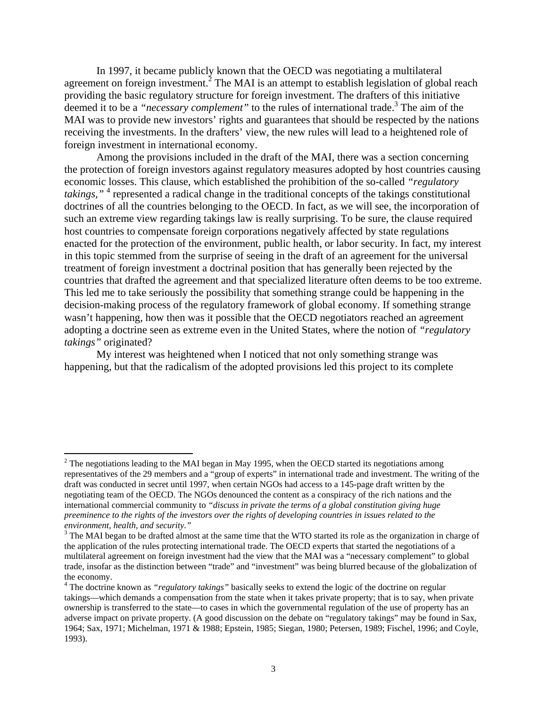In 1997, it became publicly known that the OECD was negotiating a multilateral agreement on foreign investment.<sup>2</sup> The MAI is an attempt to establish legislation of global reach providing the basic regulatory structure for foreign investment. The drafters of this initiative deemed it to be a *"necessary complement"* to the rules of international trade.3 The aim of the MAI was to provide new investors' rights and guarantees that should be respected by the nations receiving the investments. In the drafters' view, the new rules will lead to a heightened role of foreign investment in international economy.

 Among the provisions included in the draft of the MAI, there was a section concerning the protection of foreign investors against regulatory measures adopted by host countries causing economic losses. This clause, which established the prohibition of the so-called *"regulatory*  takings,"<sup>4</sup> represented a radical change in the traditional concepts of the takings constitutional doctrines of all the countries belonging to the OECD. In fact, as we will see, the incorporation of such an extreme view regarding takings law is really surprising. To be sure, the clause required host countries to compensate foreign corporations negatively affected by state regulations enacted for the protection of the environment, public health, or labor security. In fact, my interest in this topic stemmed from the surprise of seeing in the draft of an agreement for the universal treatment of foreign investment a doctrinal position that has generally been rejected by the countries that drafted the agreement and that specialized literature often deems to be too extreme. This led me to take seriously the possibility that something strange could be happening in the decision-making process of the regulatory framework of global economy. If something strange wasn't happening, how then was it possible that the OECD negotiators reached an agreement adopting a doctrine seen as extreme even in the United States, where the notion of *"regulatory takings"* originated?

 My interest was heightened when I noticed that not only something strange was happening, but that the radicalism of the adopted provisions led this project to its complete

 $2$  The negotiations leading to the MAI began in May 1995, when the OECD started its negotiations among representatives of the 29 members and a "group of experts" in international trade and investment. The writing of the draft was conducted in secret until 1997, when certain NGOs had access to a 145-page draft written by the negotiating team of the OECD. The NGOs denounced the content as a conspiracy of the rich nations and the international commercial community to *"discuss in private the terms of a global constitution giving huge preeminence to the rights of the investors over the rights of developing countries in issues related to the environment, health, and security."*

 $3$  The MAI began to be drafted almost at the same time that the WTO started its role as the organization in charge of the application of the rules protecting international trade. The OECD experts that started the negotiations of a multilateral agreement on foreign investment had the view that the MAI was a "necessary complement" to global trade, insofar as the distinction between "trade" and "investment" was being blurred because of the globalization of the economy.

<sup>&</sup>lt;sup>4</sup> The doctrine known as *"regulatory takings"* basically seeks to extend the logic of the doctrine on regular takings—which demands a compensation from the state when it takes private property; that is to say, when private ownership is transferred to the state—to cases in which the governmental regulation of the use of property has an adverse impact on private property. (A good discussion on the debate on "regulatory takings" may be found in Sax, 1964; Sax, 1971; Michelman, 1971 & 1988; Epstein, 1985; Siegan, 1980; Petersen, 1989; Fischel, 1996; and Coyle, 1993).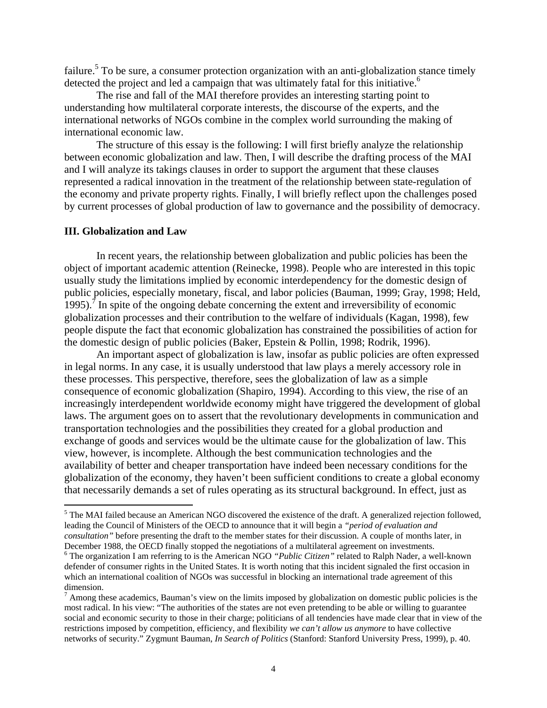failure.<sup>5</sup> To be sure, a consumer protection organization with an anti-globalization stance timely detected the project and led a campaign that was ultimately fatal for this initiative.<sup>6</sup>

 The rise and fall of the MAI therefore provides an interesting starting point to understanding how multilateral corporate interests, the discourse of the experts, and the international networks of NGOs combine in the complex world surrounding the making of international economic law.

 The structure of this essay is the following: I will first briefly analyze the relationship between economic globalization and law. Then, I will describe the drafting process of the MAI and I will analyze its takings clauses in order to support the argument that these clauses represented a radical innovation in the treatment of the relationship between state-regulation of the economy and private property rights. Finally, I will briefly reflect upon the challenges posed by current processes of global production of law to governance and the possibility of democracy.

#### **III. Globalization and Law**

 $\overline{a}$ 

 In recent years, the relationship between globalization and public policies has been the object of important academic attention (Reinecke, 1998). People who are interested in this topic usually study the limitations implied by economic interdependency for the domestic design of public policies, especially monetary, fiscal, and labor policies (Bauman, 1999; Gray, 1998; Held, 1995).<sup> $\bar{\tau}$ </sup> In spite of the ongoing debate concerning the extent and irreversibility of economic globalization processes and their contribution to the welfare of individuals (Kagan, 1998), few people dispute the fact that economic globalization has constrained the possibilities of action for the domestic design of public policies (Baker, Epstein & Pollin, 1998; Rodrik, 1996).

 An important aspect of globalization is law, insofar as public policies are often expressed in legal norms. In any case, it is usually understood that law plays a merely accessory role in these processes. This perspective, therefore, sees the globalization of law as a simple consequence of economic globalization (Shapiro, 1994). According to this view, the rise of an increasingly interdependent worldwide economy might have triggered the development of global laws. The argument goes on to assert that the revolutionary developments in communication and transportation technologies and the possibilities they created for a global production and exchange of goods and services would be the ultimate cause for the globalization of law. This view, however, is incomplete. Although the best communication technologies and the availability of better and cheaper transportation have indeed been necessary conditions for the globalization of the economy, they haven't been sufficient conditions to create a global economy that necessarily demands a set of rules operating as its structural background. In effect, just as

<sup>&</sup>lt;sup>5</sup> The MAI failed because an American NGO discovered the existence of the draft. A generalized rejection followed, leading the Council of Ministers of the OECD to announce that it will begin a *"period of evaluation and consultation"* before presenting the draft to the member states for their discussion. A couple of months later, in December 1988, the OECD finally stopped the negotiations of a multilateral agreement on investments.

The organization I am referring to is the American NGO *"Public Citizen"* related to Ralph Nader, a well-known defender of consumer rights in the United States. It is worth noting that this incident signaled the first occasion in which an international coalition of NGOs was successful in blocking an international trade agreement of this dimension.

 $<sup>7</sup>$  Among these academics, Bauman's view on the limits imposed by globalization on domestic public policies is the</sup> most radical. In his view: "The authorities of the states are not even pretending to be able or willing to guarantee social and economic security to those in their charge; politicians of all tendencies have made clear that in view of the restrictions imposed by competition, efficiency, and flexibility *we can't allow us anymore* to have collective networks of security." Zygmunt Bauman, *In Search of Politics* (Stanford: Stanford University Press, 1999), p. 40.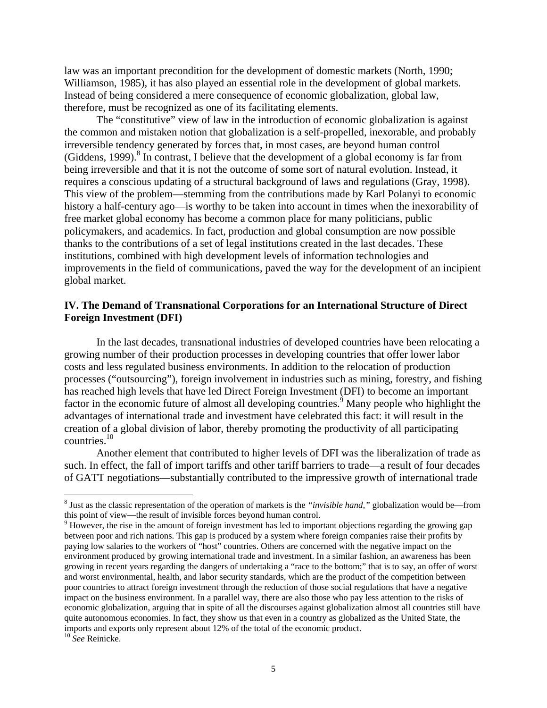law was an important precondition for the development of domestic markets (North, 1990; Williamson, 1985), it has also played an essential role in the development of global markets. Instead of being considered a mere consequence of economic globalization, global law, therefore, must be recognized as one of its facilitating elements.

 The "constitutive" view of law in the introduction of economic globalization is against the common and mistaken notion that globalization is a self-propelled, inexorable, and probably irreversible tendency generated by forces that, in most cases, are beyond human control (Giddens, 1999). $8$  In contrast, I believe that the development of a global economy is far from being irreversible and that it is not the outcome of some sort of natural evolution. Instead, it requires a conscious updating of a structural background of laws and regulations (Gray, 1998). This view of the problem—stemming from the contributions made by Karl Polanyi to economic history a half-century ago—is worthy to be taken into account in times when the inexorability of free market global economy has become a common place for many politicians, public policymakers, and academics. In fact, production and global consumption are now possible thanks to the contributions of a set of legal institutions created in the last decades. These institutions, combined with high development levels of information technologies and improvements in the field of communications, paved the way for the development of an incipient global market.

## **IV. The Demand of Transnational Corporations for an International Structure of Direct Foreign Investment (DFI)**

 In the last decades, transnational industries of developed countries have been relocating a growing number of their production processes in developing countries that offer lower labor costs and less regulated business environments. In addition to the relocation of production processes ("outsourcing"), foreign involvement in industries such as mining, forestry, and fishing has reached high levels that have led Direct Foreign Investment (DFI) to become an important factor in the economic future of almost all developing countries.<sup>9</sup> Many people who highlight the advantages of international trade and investment have celebrated this fact: it will result in the creation of a global division of labor, thereby promoting the productivity of all participating countries.10

 Another element that contributed to higher levels of DFI was the liberalization of trade as such. In effect, the fall of import tariffs and other tariff barriers to trade—a result of four decades of GATT negotiations—substantially contributed to the impressive growth of international trade

<sup>&</sup>lt;sup>8</sup> Just as the classic representation of the operation of markets is the *"invisible hand,"* globalization would be—from this point of view—the result of invisible forces beyond human control.

<sup>&</sup>lt;sup>9</sup> However, the rise in the amount of foreign investment has led to important objections regarding the growing gap between poor and rich nations. This gap is produced by a system where foreign companies raise their profits by paying low salaries to the workers of "host" countries. Others are concerned with the negative impact on the environment produced by growing international trade and investment. In a similar fashion, an awareness has been growing in recent years regarding the dangers of undertaking a "race to the bottom;" that is to say, an offer of worst and worst environmental, health, and labor security standards, which are the product of the competition between poor countries to attract foreign investment through the reduction of those social regulations that have a negative impact on the business environment. In a parallel way, there are also those who pay less attention to the risks of economic globalization, arguing that in spite of all the discourses against globalization almost all countries still have quite autonomous economies. In fact, they show us that even in a country as globalized as the United State, the imports and exports only represent about 12% of the total of the economic product.

<sup>10</sup> *See* Reinicke.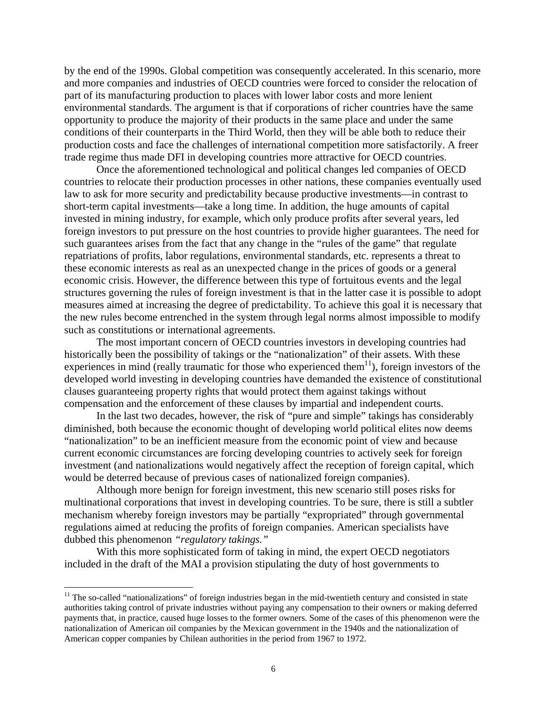by the end of the 1990s. Global competition was consequently accelerated. In this scenario, more and more companies and industries of OECD countries were forced to consider the relocation of part of its manufacturing production to places with lower labor costs and more lenient environmental standards. The argument is that if corporations of richer countries have the same opportunity to produce the majority of their products in the same place and under the same conditions of their counterparts in the Third World, then they will be able both to reduce their production costs and face the challenges of international competition more satisfactorily. A freer trade regime thus made DFI in developing countries more attractive for OECD countries.

 Once the aforementioned technological and political changes led companies of OECD countries to relocate their production processes in other nations, these companies eventually used law to ask for more security and predictability because productive investments—in contrast to short-term capital investments—take a long time. In addition, the huge amounts of capital invested in mining industry, for example, which only produce profits after several years, led foreign investors to put pressure on the host countries to provide higher guarantees. The need for such guarantees arises from the fact that any change in the "rules of the game" that regulate repatriations of profits, labor regulations, environmental standards, etc. represents a threat to these economic interests as real as an unexpected change in the prices of goods or a general economic crisis. However, the difference between this type of fortuitous events and the legal structures governing the rules of foreign investment is that in the latter case it is possible to adopt measures aimed at increasing the degree of predictability. To achieve this goal it is necessary that the new rules become entrenched in the system through legal norms almost impossible to modify such as constitutions or international agreements.

 The most important concern of OECD countries investors in developing countries had historically been the possibility of takings or the "nationalization" of their assets. With these experiences in mind (really traumatic for those who experienced them<sup>11</sup>), foreign investors of the developed world investing in developing countries have demanded the existence of constitutional clauses guaranteeing property rights that would protect them against takings without compensation and the enforcement of these clauses by impartial and independent courts.

 In the last two decades, however, the risk of "pure and simple" takings has considerably diminished, both because the economic thought of developing world political elites now deems "nationalization" to be an inefficient measure from the economic point of view and because current economic circumstances are forcing developing countries to actively seek for foreign investment (and nationalizations would negatively affect the reception of foreign capital, which would be deterred because of previous cases of nationalized foreign companies).

 Although more benign for foreign investment, this new scenario still poses risks for multinational corporations that invest in developing countries. To be sure, there is still a subtler mechanism whereby foreign investors may be partially "expropriated" through governmental regulations aimed at reducing the profits of foreign companies. American specialists have dubbed this phenomenon *"regulatory takings."*

 With this more sophisticated form of taking in mind, the expert OECD negotiators included in the draft of the MAI a provision stipulating the duty of host governments to

 $11$  The so-called "nationalizations" of foreign industries began in the mid-twentieth century and consisted in state authorities taking control of private industries without paying any compensation to their owners or making deferred payments that, in practice, caused huge losses to the former owners. Some of the cases of this phenomenon were the nationalization of American oil companies by the Mexican government in the 1940s and the nationalization of American copper companies by Chilean authorities in the period from 1967 to 1972.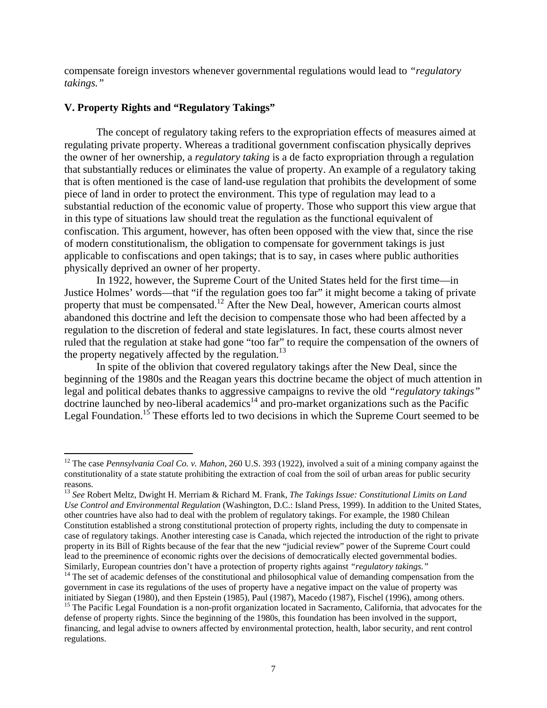compensate foreign investors whenever governmental regulations would lead to *"regulatory takings."*

#### **V. Property Rights and "Regulatory Takings"**

 $\overline{a}$ 

 The concept of regulatory taking refers to the expropriation effects of measures aimed at regulating private property. Whereas a traditional government confiscation physically deprives the owner of her ownership, a *regulatory taking* is a de facto expropriation through a regulation that substantially reduces or eliminates the value of property. An example of a regulatory taking that is often mentioned is the case of land-use regulation that prohibits the development of some piece of land in order to protect the environment. This type of regulation may lead to a substantial reduction of the economic value of property. Those who support this view argue that in this type of situations law should treat the regulation as the functional equivalent of confiscation. This argument, however, has often been opposed with the view that, since the rise of modern constitutionalism, the obligation to compensate for government takings is just applicable to confiscations and open takings; that is to say, in cases where public authorities physically deprived an owner of her property.

 In 1922, however, the Supreme Court of the United States held for the first time—in Justice Holmes' words—that "if the regulation goes too far" it might become a taking of private property that must be compensated.<sup>12</sup> After the New Deal, however, American courts almost abandoned this doctrine and left the decision to compensate those who had been affected by a regulation to the discretion of federal and state legislatures. In fact, these courts almost never ruled that the regulation at stake had gone "too far" to require the compensation of the owners of the property negatively affected by the regulation.<sup>13</sup>

 In spite of the oblivion that covered regulatory takings after the New Deal, since the beginning of the 1980s and the Reagan years this doctrine became the object of much attention in legal and political debates thanks to aggressive campaigns to revive the old *"regulatory takings"* doctrine launched by neo-liberal academics14 and pro-market organizations such as the Pacific Legal Foundation.<sup>15</sup> These efforts led to two decisions in which the Supreme Court seemed to be

<sup>12</sup> The case *Pennsylvania Coal Co. v. Mahon*, 260 U.S. 393 (1922), involved a suit of a mining company against the constitutionality of a state statute prohibiting the extraction of coal from the soil of urban areas for public security reasons.

<sup>13</sup> *See* Robert Meltz, Dwight H. Merriam & Richard M. Frank, *The Takings Issue: Constitutional Limits on Land Use Control and Environmental Regulation* (Washington, D.C.: Island Press, 1999). In addition to the United States, other countries have also had to deal with the problem of regulatory takings. For example, the 1980 Chilean Constitution established a strong constitutional protection of property rights, including the duty to compensate in case of regulatory takings. Another interesting case is Canada, which rejected the introduction of the right to private property in its Bill of Rights because of the fear that the new "judicial review" power of the Supreme Court could lead to the preeminence of economic rights over the decisions of democratically elected governmental bodies. Similarly, European countries don't have a protection of property rights against *"regulatory takings."* <sup>14</sup> The set of academic defenses of the constitutional and philosophical value of demanding compensation from the

government in case its regulations of the uses of property have a negative impact on the value of property was initiated by Siegan (1980), and then Epstein (1985), Paul (1987), Macedo (1987), Fischel (1996), among others.<br><sup>15</sup> The Pacific Legal Foundation is a non-profit organization located in Sacramento, California, that advocate

defense of property rights. Since the beginning of the 1980s, this foundation has been involved in the support, financing, and legal advise to owners affected by environmental protection, health, labor security, and rent control regulations.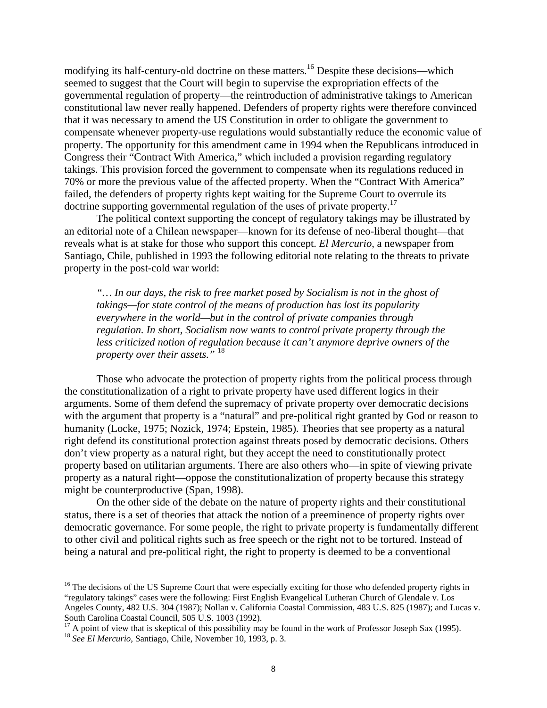modifying its half-century-old doctrine on these matters.16 Despite these decisions—which seemed to suggest that the Court will begin to supervise the expropriation effects of the governmental regulation of property—the reintroduction of administrative takings to American constitutional law never really happened. Defenders of property rights were therefore convinced that it was necessary to amend the US Constitution in order to obligate the government to compensate whenever property-use regulations would substantially reduce the economic value of property. The opportunity for this amendment came in 1994 when the Republicans introduced in Congress their "Contract With America," which included a provision regarding regulatory takings. This provision forced the government to compensate when its regulations reduced in 70% or more the previous value of the affected property. When the "Contract With America" failed, the defenders of property rights kept waiting for the Supreme Court to overrule its doctrine supporting governmental regulation of the uses of private property.<sup>17</sup>

 The political context supporting the concept of regulatory takings may be illustrated by an editorial note of a Chilean newspaper—known for its defense of neo-liberal thought—that reveals what is at stake for those who support this concept. *El Mercurio*, a newspaper from Santiago, Chile, published in 1993 the following editorial note relating to the threats to private property in the post-cold war world:

*"… In our days, the risk to free market posed by Socialism is not in the ghost of takings—for state control of the means of production has lost its popularity everywhere in the world—but in the control of private companies through regulation. In short, Socialism now wants to control private property through the less criticized notion of regulation because it can't anymore deprive owners of the property over their assets."* <sup>18</sup>

 Those who advocate the protection of property rights from the political process through the constitutionalization of a right to private property have used different logics in their arguments. Some of them defend the supremacy of private property over democratic decisions with the argument that property is a "natural" and pre-political right granted by God or reason to humanity (Locke, 1975; Nozick, 1974; Epstein, 1985). Theories that see property as a natural right defend its constitutional protection against threats posed by democratic decisions. Others don't view property as a natural right, but they accept the need to constitutionally protect property based on utilitarian arguments. There are also others who—in spite of viewing private property as a natural right—oppose the constitutionalization of property because this strategy might be counterproductive (Span, 1998).

 On the other side of the debate on the nature of property rights and their constitutional status, there is a set of theories that attack the notion of a preeminence of property rights over democratic governance. For some people, the right to private property is fundamentally different to other civil and political rights such as free speech or the right not to be tortured. Instead of being a natural and pre-political right, the right to property is deemed to be a conventional

1

<sup>&</sup>lt;sup>16</sup> The decisions of the US Supreme Court that were especially exciting for those who defended property rights in "regulatory takings" cases were the following: First English Evangelical Lutheran Church of Glendale v. Los Angeles County, 482 U.S. 304 (1987); Nollan v. California Coastal Commission, 483 U.S. 825 (1987); and Lucas v. South Carolina Coastal Council, 505 U.S. 1003 (1992).

<sup>17</sup> A point of view that is skeptical of this possibility may be found in the work of Professor Joseph Sax (1995). 18 *See El Mercurio*, Santiago, Chile, November 10, 1993, p. 3.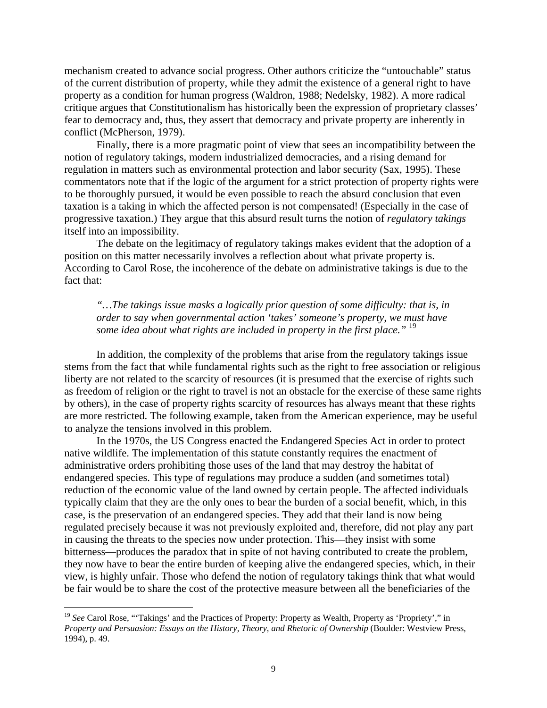mechanism created to advance social progress. Other authors criticize the "untouchable" status of the current distribution of property, while they admit the existence of a general right to have property as a condition for human progress (Waldron, 1988; Nedelsky, 1982). A more radical critique argues that Constitutionalism has historically been the expression of proprietary classes' fear to democracy and, thus, they assert that democracy and private property are inherently in conflict (McPherson, 1979).

 Finally, there is a more pragmatic point of view that sees an incompatibility between the notion of regulatory takings, modern industrialized democracies, and a rising demand for regulation in matters such as environmental protection and labor security (Sax, 1995). These commentators note that if the logic of the argument for a strict protection of property rights were to be thoroughly pursued, it would be even possible to reach the absurd conclusion that even taxation is a taking in which the affected person is not compensated! (Especially in the case of progressive taxation.) They argue that this absurd result turns the notion of *regulatory takings* itself into an impossibility.

 The debate on the legitimacy of regulatory takings makes evident that the adoption of a position on this matter necessarily involves a reflection about what private property is. According to Carol Rose, the incoherence of the debate on administrative takings is due to the fact that:

*"…The takings issue masks a logically prior question of some difficulty: that is, in order to say when governmental action 'takes' someone's property, we must have some idea about what rights are included in property in the first place."* <sup>19</sup>

 In addition, the complexity of the problems that arise from the regulatory takings issue stems from the fact that while fundamental rights such as the right to free association or religious liberty are not related to the scarcity of resources (it is presumed that the exercise of rights such as freedom of religion or the right to travel is not an obstacle for the exercise of these same rights by others), in the case of property rights scarcity of resources has always meant that these rights are more restricted. The following example, taken from the American experience, may be useful to analyze the tensions involved in this problem.

 In the 1970s, the US Congress enacted the Endangered Species Act in order to protect native wildlife. The implementation of this statute constantly requires the enactment of administrative orders prohibiting those uses of the land that may destroy the habitat of endangered species. This type of regulations may produce a sudden (and sometimes total) reduction of the economic value of the land owned by certain people. The affected individuals typically claim that they are the only ones to bear the burden of a social benefit, which, in this case, is the preservation of an endangered species. They add that their land is now being regulated precisely because it was not previously exploited and, therefore, did not play any part in causing the threats to the species now under protection. This—they insist with some bitterness—produces the paradox that in spite of not having contributed to create the problem, they now have to bear the entire burden of keeping alive the endangered species, which, in their view, is highly unfair. Those who defend the notion of regulatory takings think that what would be fair would be to share the cost of the protective measure between all the beneficiaries of the

<sup>&</sup>lt;sup>19</sup> See Carol Rose, "Takings' and the Practices of Property: Property as Wealth, Property as 'Propriety'," in *Property and Persuasion: Essays on the History, Theory, and Rhetoric of Ownership* (Boulder: Westview Press, 1994), p. 49.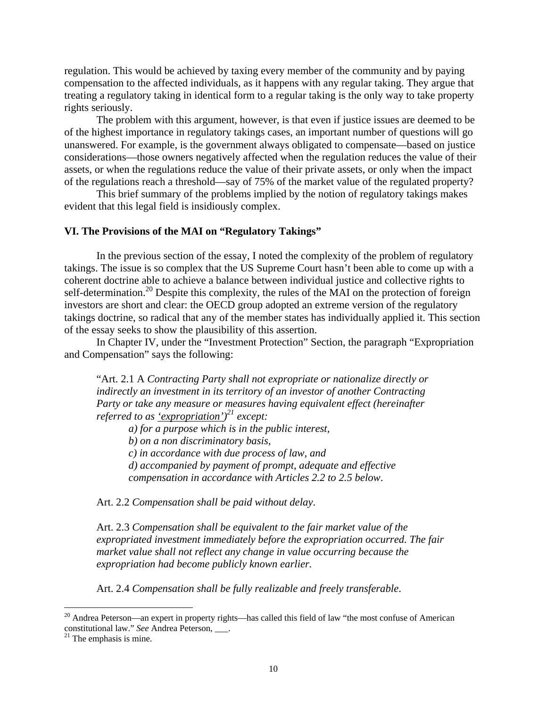regulation. This would be achieved by taxing every member of the community and by paying compensation to the affected individuals, as it happens with any regular taking. They argue that treating a regulatory taking in identical form to a regular taking is the only way to take property rights seriously.

 The problem with this argument, however, is that even if justice issues are deemed to be of the highest importance in regulatory takings cases, an important number of questions will go unanswered. For example, is the government always obligated to compensate—based on justice considerations—those owners negatively affected when the regulation reduces the value of their assets, or when the regulations reduce the value of their private assets, or only when the impact of the regulations reach a threshold—say of 75% of the market value of the regulated property?

 This brief summary of the problems implied by the notion of regulatory takings makes evident that this legal field is insidiously complex.

## **VI. The Provisions of the MAI on "Regulatory Takings"**

 In the previous section of the essay, I noted the complexity of the problem of regulatory takings. The issue is so complex that the US Supreme Court hasn't been able to come up with a coherent doctrine able to achieve a balance between individual justice and collective rights to self-determination.<sup>20</sup> Despite this complexity, the rules of the MAI on the protection of foreign investors are short and clear: the OECD group adopted an extreme version of the regulatory takings doctrine, so radical that any of the member states has individually applied it. This section of the essay seeks to show the plausibility of this assertion.

 In Chapter IV, under the "Investment Protection" Section, the paragraph "Expropriation and Compensation" says the following:

"Art. 2.1 A *Contracting Party shall not expropriate or nationalize directly or indirectly an investment in its territory of an investor of another Contracting Party or take any measure or measures having equivalent effect (hereinafter referred to as 'expropriation') 21 except:* 

 *a) for a purpose which is in the public interest,* 

 *b) on a non discriminatory basis,* 

 *c) in accordance with due process of law, and* 

*d) accompanied by payment of prompt, adequate and effective compensation in accordance with Articles 2.2 to 2.5 below*.

Art. 2.2 *Compensation shall be paid without delay*.

Art. 2.3 *Compensation shall be equivalent to the fair market value of the expropriated investment immediately before the expropriation occurred. The fair market value shall not reflect any change in value occurring because the expropriation had become publicly known earlier.*

Art. 2.4 *Compensation shall be fully realizable and freely transferable*.

1

<sup>&</sup>lt;sup>20</sup> Andrea Peterson—an expert in property rights—has called this field of law "the most confuse of American constitutional law." *See* Andrea Peterson, \_\_\_.<sup>21</sup> The emphasis is mine.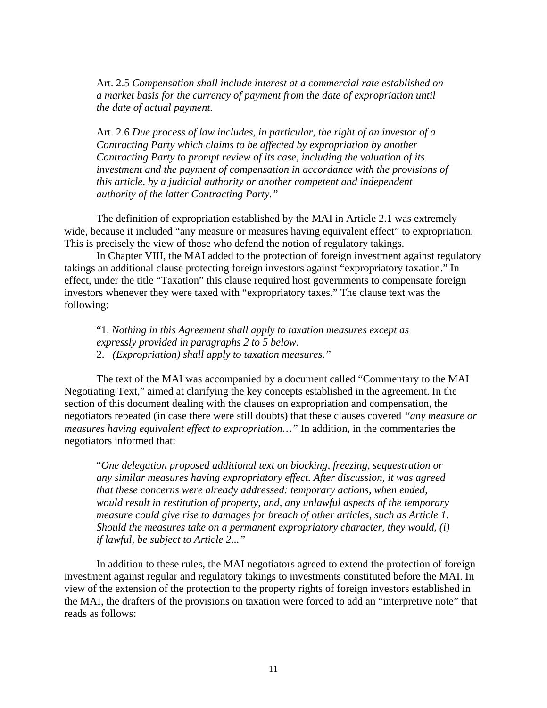Art. 2.5 *Compensation shall include interest at a commercial rate established on a market basis for the currency of payment from the date of expropriation until the date of actual payment.* 

Art. 2.6 *Due process of law includes, in particular, the right of an investor of a Contracting Party which claims to be affected by expropriation by another Contracting Party to prompt review of its case, including the valuation of its investment and the payment of compensation in accordance with the provisions of this article, by a judicial authority or another competent and independent authority of the latter Contracting Party."* 

The definition of expropriation established by the MAI in Article 2.1 was extremely wide, because it included "any measure or measures having equivalent effect" to expropriation. This is precisely the view of those who defend the notion of regulatory takings.

 In Chapter VIII, the MAI added to the protection of foreign investment against regulatory takings an additional clause protecting foreign investors against "expropriatory taxation." In effect, under the title "Taxation" this clause required host governments to compensate foreign investors whenever they were taxed with "expropriatory taxes." The clause text was the following:

"1. *Nothing in this Agreement shall apply to taxation measures except as expressly provided in paragraphs 2 to 5 below.* 2. *(Expropriation) shall apply to taxation measures."*

The text of the MAI was accompanied by a document called "Commentary to the MAI Negotiating Text," aimed at clarifying the key concepts established in the agreement. In the section of this document dealing with the clauses on expropriation and compensation, the negotiators repeated (in case there were still doubts) that these clauses covered *"any measure or measures having equivalent effect to expropriation…"* In addition, in the commentaries the negotiators informed that:

"*One delegation proposed additional text on blocking, freezing, sequestration or any similar measures having expropriatory effect. After discussion, it was agreed that these concerns were already addressed: temporary actions, when ended, would result in restitution of property, and, any unlawful aspects of the temporary measure could give rise to damages for breach of other articles, such as Article 1. Should the measures take on a permanent expropriatory character, they would, (i) if lawful, be subject to Article 2..."* 

 In addition to these rules, the MAI negotiators agreed to extend the protection of foreign investment against regular and regulatory takings to investments constituted before the MAI. In view of the extension of the protection to the property rights of foreign investors established in the MAI, the drafters of the provisions on taxation were forced to add an "interpretive note" that reads as follows: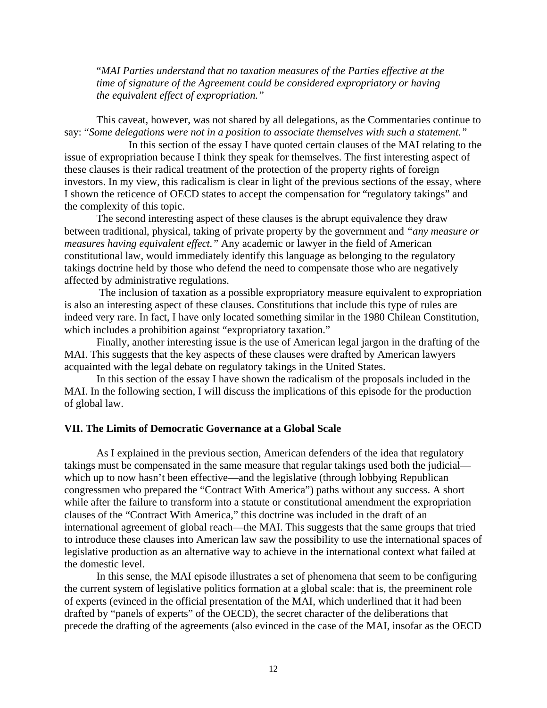"*MAI Parties understand that no taxation measures of the Parties effective at the time of signature of the Agreement could be considered expropriatory or having the equivalent effect of expropriation."*

This caveat, however, was not shared by all delegations, as the Commentaries continue to say: "*Some delegations were not in a position to associate themselves with such a statement."* 

 In this section of the essay I have quoted certain clauses of the MAI relating to the issue of expropriation because I think they speak for themselves. The first interesting aspect of these clauses is their radical treatment of the protection of the property rights of foreign investors. In my view, this radicalism is clear in light of the previous sections of the essay, where I shown the reticence of OECD states to accept the compensation for "regulatory takings" and the complexity of this topic.

 The second interesting aspect of these clauses is the abrupt equivalence they draw between traditional, physical, taking of private property by the government and *"any measure or measures having equivalent effect."* Any academic or lawyer in the field of American constitutional law, would immediately identify this language as belonging to the regulatory takings doctrine held by those who defend the need to compensate those who are negatively affected by administrative regulations.

 The inclusion of taxation as a possible expropriatory measure equivalent to expropriation is also an interesting aspect of these clauses. Constitutions that include this type of rules are indeed very rare. In fact, I have only located something similar in the 1980 Chilean Constitution, which includes a prohibition against "expropriatory taxation."

 Finally, another interesting issue is the use of American legal jargon in the drafting of the MAI. This suggests that the key aspects of these clauses were drafted by American lawyers acquainted with the legal debate on regulatory takings in the United States.

 In this section of the essay I have shown the radicalism of the proposals included in the MAI. In the following section, I will discuss the implications of this episode for the production of global law.

## **VII. The Limits of Democratic Governance at a Global Scale**

 As I explained in the previous section, American defenders of the idea that regulatory takings must be compensated in the same measure that regular takings used both the judicial which up to now hasn't been effective—and the legislative (through lobbying Republican congressmen who prepared the "Contract With America") paths without any success. A short while after the failure to transform into a statute or constitutional amendment the expropriation clauses of the "Contract With America," this doctrine was included in the draft of an international agreement of global reach—the MAI. This suggests that the same groups that tried to introduce these clauses into American law saw the possibility to use the international spaces of legislative production as an alternative way to achieve in the international context what failed at the domestic level.

 In this sense, the MAI episode illustrates a set of phenomena that seem to be configuring the current system of legislative politics formation at a global scale: that is, the preeminent role of experts (evinced in the official presentation of the MAI, which underlined that it had been drafted by "panels of experts" of the OECD), the secret character of the deliberations that precede the drafting of the agreements (also evinced in the case of the MAI, insofar as the OECD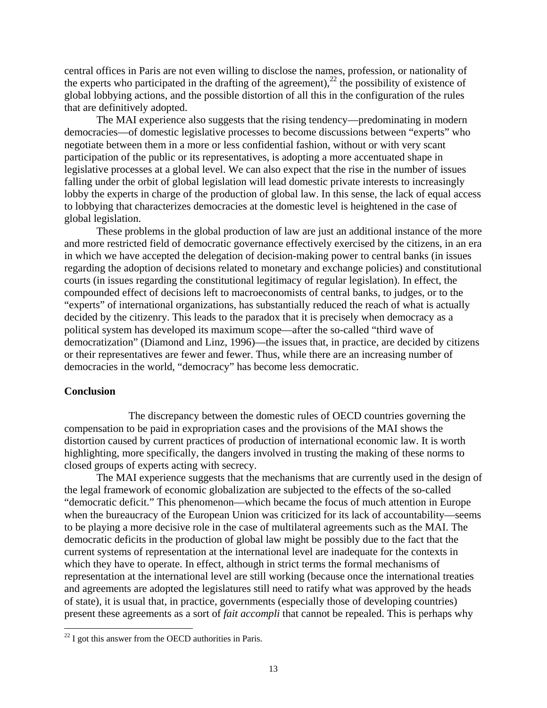central offices in Paris are not even willing to disclose the names, profession, or nationality of the experts who participated in the drafting of the agreement),<sup>22</sup> the possibility of existence of global lobbying actions, and the possible distortion of all this in the configuration of the rules that are definitively adopted.

 The MAI experience also suggests that the rising tendency—predominating in modern democracies—of domestic legislative processes to become discussions between "experts" who negotiate between them in a more or less confidential fashion, without or with very scant participation of the public or its representatives, is adopting a more accentuated shape in legislative processes at a global level. We can also expect that the rise in the number of issues falling under the orbit of global legislation will lead domestic private interests to increasingly lobby the experts in charge of the production of global law. In this sense, the lack of equal access to lobbying that characterizes democracies at the domestic level is heightened in the case of global legislation.

 These problems in the global production of law are just an additional instance of the more and more restricted field of democratic governance effectively exercised by the citizens, in an era in which we have accepted the delegation of decision-making power to central banks (in issues regarding the adoption of decisions related to monetary and exchange policies) and constitutional courts (in issues regarding the constitutional legitimacy of regular legislation). In effect, the compounded effect of decisions left to macroeconomists of central banks, to judges, or to the "experts" of international organizations, has substantially reduced the reach of what is actually decided by the citizenry. This leads to the paradox that it is precisely when democracy as a political system has developed its maximum scope—after the so-called "third wave of democratization" (Diamond and Linz, 1996)—the issues that, in practice, are decided by citizens or their representatives are fewer and fewer. Thus, while there are an increasing number of democracies in the world, "democracy" has become less democratic.

#### **Conclusion**

 $\overline{a}$ 

 The discrepancy between the domestic rules of OECD countries governing the compensation to be paid in expropriation cases and the provisions of the MAI shows the distortion caused by current practices of production of international economic law. It is worth highlighting, more specifically, the dangers involved in trusting the making of these norms to closed groups of experts acting with secrecy.

 The MAI experience suggests that the mechanisms that are currently used in the design of the legal framework of economic globalization are subjected to the effects of the so-called "democratic deficit." This phenomenon—which became the focus of much attention in Europe when the bureaucracy of the European Union was criticized for its lack of accountability—seems to be playing a more decisive role in the case of multilateral agreements such as the MAI. The democratic deficits in the production of global law might be possibly due to the fact that the current systems of representation at the international level are inadequate for the contexts in which they have to operate. In effect, although in strict terms the formal mechanisms of representation at the international level are still working (because once the international treaties and agreements are adopted the legislatures still need to ratify what was approved by the heads of state), it is usual that, in practice, governments (especially those of developing countries) present these agreements as a sort of *fait accompli* that cannot be repealed. This is perhaps why

 $22$  I got this answer from the OECD authorities in Paris.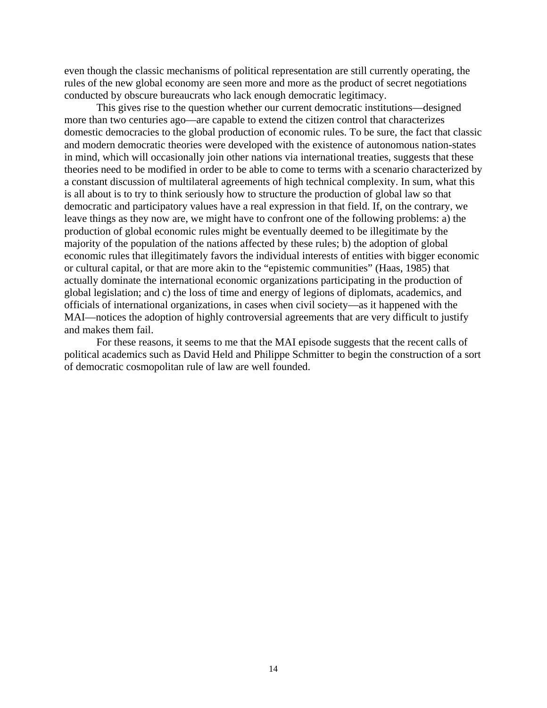even though the classic mechanisms of political representation are still currently operating, the rules of the new global economy are seen more and more as the product of secret negotiations conducted by obscure bureaucrats who lack enough democratic legitimacy.

 This gives rise to the question whether our current democratic institutions—designed more than two centuries ago—are capable to extend the citizen control that characterizes domestic democracies to the global production of economic rules. To be sure, the fact that classic and modern democratic theories were developed with the existence of autonomous nation-states in mind, which will occasionally join other nations via international treaties, suggests that these theories need to be modified in order to be able to come to terms with a scenario characterized by a constant discussion of multilateral agreements of high technical complexity. In sum, what this is all about is to try to think seriously how to structure the production of global law so that democratic and participatory values have a real expression in that field. If, on the contrary, we leave things as they now are, we might have to confront one of the following problems: a) the production of global economic rules might be eventually deemed to be illegitimate by the majority of the population of the nations affected by these rules; b) the adoption of global economic rules that illegitimately favors the individual interests of entities with bigger economic or cultural capital, or that are more akin to the "epistemic communities" (Haas, 1985) that actually dominate the international economic organizations participating in the production of global legislation; and c) the loss of time and energy of legions of diplomats, academics, and officials of international organizations, in cases when civil society—as it happened with the MAI—notices the adoption of highly controversial agreements that are very difficult to justify and makes them fail.

 For these reasons, it seems to me that the MAI episode suggests that the recent calls of political academics such as David Held and Philippe Schmitter to begin the construction of a sort of democratic cosmopolitan rule of law are well founded.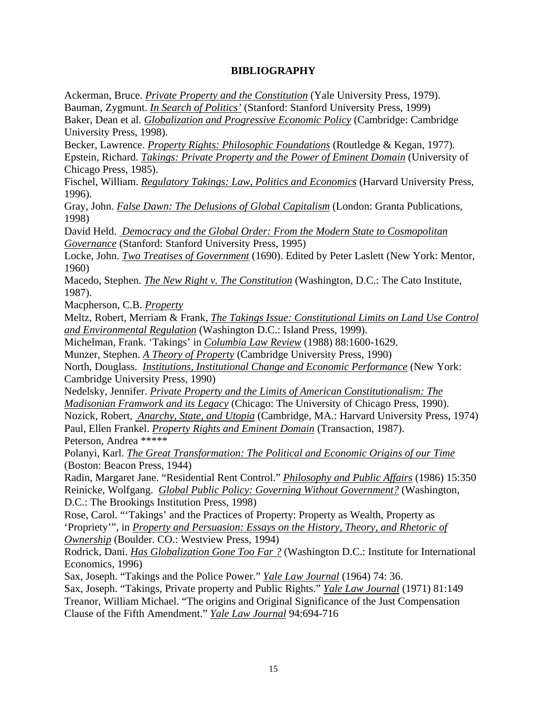# **BIBLIOGRAPHY**

Ackerman, Bruce. *Private Property and the Constitution* (Yale University Press, 1979). Bauman, Zygmunt. *In Search of Politics'* (Stanford: Stanford University Press, 1999) Baker, Dean et al. *Globalization and Progressive Economic Policy* (Cambridge: Cambridge University Press, 1998).

Becker, Lawrence. *Property Rights: Philosophic Foundations* (Routledge & Kegan, 1977). Epstein, Richard. *Takings: Private Property and the Power of Eminent Domain* (University of Chicago Press, 1985).

Fischel, William. *Regulatory Takings: Law, Politics and Economics* (Harvard University Press, 1996).

Gray, John. *False Dawn: The Delusions of Global Capitalism* (London: Granta Publications, 1998)

David Held. *Democracy and the Global Order: From the Modern State to Cosmopolitan Governance* (Stanford: Stanford University Press, 1995)

Locke, John. *Two Treatises of Government* (1690). Edited by Peter Laslett (New York: Mentor, 1960)

Macedo, Stephen. *The New Right v. The Constitution* (Washington, D.C.: The Cato Institute, 1987).

Macpherson, C.B. *Property*

Meltz, Robert, Merriam & Frank, *The Takings Issue: Constitutional Limits on Land Use Control and Environmental Regulation* (Washington D.C.: Island Press, 1999).

Michelman, Frank. 'Takings' in *Columbia Law Review* (1988) 88:1600-1629.

Munzer, Stephen. *A Theory of Property* (Cambridge University Press, 1990)

North, Douglass. *Institutions, Institutional Change and Economic Performance* (New York: Cambridge University Press, 1990)

Nedelsky, Jennifer. *Private Property and the Limits of American Constitutionalism: The* 

*Madisonian Framwork and its Legacy* (Chicago: The University of Chicago Press, 1990).

Nozick, Robert, *Anarchy, State, and Utopia* (Cambridge, MA.: Harvard University Press, 1974) Paul, Ellen Frankel. *Property Rights and Eminent Domain* (Transaction, 1987).

Peterson, Andrea \*\*\*\*\*

Polanyi, Karl. *The Great Transformation: The Political and Economic Origins of our Time* (Boston: Beacon Press, 1944)

Radin, Margaret Jane. "Residential Rent Control." *Philosophy and Public Affairs* (1986) 15:350 Reinicke, Wolfgang. *Global Public Policy: Governing Without Government?* (Washington, D.C.: The Brookings Institution Press, 1998)

Rose, Carol. "'Takings' and the Practices of Property: Property as Wealth, Property as 'Propriety'", in *Property and Persuasion: Essays on the History, Theory, and Rhetoric of* 

*Ownership* (Boulder. CO.: Westview Press, 1994)

Rodrick, Dani. *Has Globalization Gone Too Far ?* (Washington D.C.: Institute for International Economics, 1996)

Sax, Joseph. "Takings and the Police Power." *Yale Law Journal* (1964) 74: 36.

Sax, Joseph. "Takings, Private property and Public Rights." *Yale Law Journal* (1971) 81:149 Treanor, William Michael. "The origins and Original Significance of the Just Compensation Clause of the Fifth Amendment." *Yale Law Journal* 94:694-716